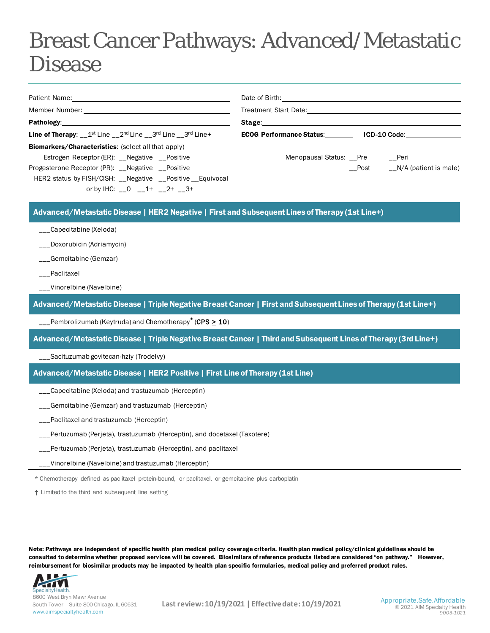## Breast Cancer Pathways: Advanced/Metastatic Disease

|                                                                                                 | Date of Birth: the contract of the contract of the contract of the contract of the contract of the contract of the contract of the contract of the contract of the contract of the contract of the contract of the contract of                                    |                       |
|-------------------------------------------------------------------------------------------------|-------------------------------------------------------------------------------------------------------------------------------------------------------------------------------------------------------------------------------------------------------------------|-----------------------|
|                                                                                                 | Treatment Start Date: The Start Start Start Start Start Start Start Start Start Start Start Start Start Start Start Start Start Start Start Start Start Start Start Start Start Start Start Start Start Start Start Start Star                                    |                       |
|                                                                                                 | Stage:__________________                                                                                                                                                                                                                                          |                       |
| <b>Line of Therapy:</b> $1^{st}$ Line $2^{nd}$ Line $3^{rd}$ Line $3^{rd}$ Line +               | <b>ECOG Performance Status:</b><br>ICD-10 Code: The control of the control of the control of the control of the control of the control of the control of the control of the control of the control of the control of the control of the control of the control of |                       |
| <b>Biomarkers/Characteristics:</b> (select all that apply)                                      |                                                                                                                                                                                                                                                                   |                       |
| Estrogen Receptor (ER): Negative Positive                                                       | Menopausal Status: Pre                                                                                                                                                                                                                                            | __Peri                |
| Progesterone Receptor (PR): __Negative __Positive                                               | Post                                                                                                                                                                                                                                                              | N/A (patient is male) |
| HER2 status by FISH/CISH: Negative Positive Equivocal                                           |                                                                                                                                                                                                                                                                   |                       |
| or by IHC: 0 1+ 2+ 3+                                                                           |                                                                                                                                                                                                                                                                   |                       |
|                                                                                                 |                                                                                                                                                                                                                                                                   |                       |
| Advanced/Metastatic Disease   HER2 Negative   First and Subsequent Lines of Therapy (1st Line+) |                                                                                                                                                                                                                                                                   |                       |

- \_\_\_Capecitabine (Xeloda)
- \_\_\_Doxorubicin (Adriamycin)
- \_\_\_Gemcitabine (Gemzar)
- \_\_\_Paclitaxel
- \_\_\_Vinorelbine (Navelbine)

Advanced/Metastatic Disease | Triple Negative Breast Cancer | First and Subsequent Lines of Therapy (1st Line+)

\_\_\_Pembrolizumab (Keytruda) and Chemotherapy**\*** (CPS > 10)

Advanced/Metastatic Disease | Triple Negative Breast Cancer | Third and Subsequent Lines of Therapy (3rd Line+)

\_\_\_Sacituzumab govitecan-hziy (Trodelvy)

Advanced/Metastatic Disease | HER2 Positive | First Line of Therapy (1st Line)

- \_\_\_Capecitabine (Xeloda) and trastuzumab (Herceptin)
- \_\_\_Gemcitabine (Gemzar) and trastuzumab (Herceptin)
- \_\_\_Paclitaxel and trastuzumab (Herceptin)
- \_\_\_Pertuzumab (Perjeta), trastuzumab (Herceptin), and docetaxel (Taxotere)
- \_\_Pertuzumab (Perjeta), trastuzumab (Herceptin), and paclitaxel
- \_\_\_Vinorelbine (Navelbine) and trastuzumab (Herceptin)

\* Chemotherapy defined as paclitaxel protein-bound, or paclitaxel, or gemcitabine plus carboplatin

† Limited to the third and subsequent line setting

Note: Pathways are independent of specific health plan medical policy coverage criteria. Health plan medical policy/clinical guidelines should be consulted to determine whether proposed services will be covered. Biosimilars of reference products listed are considered "on pathway." However, reimbursement for biosimilar products may be impacted by health plan specific formularies, medical policy and preferred product rules.